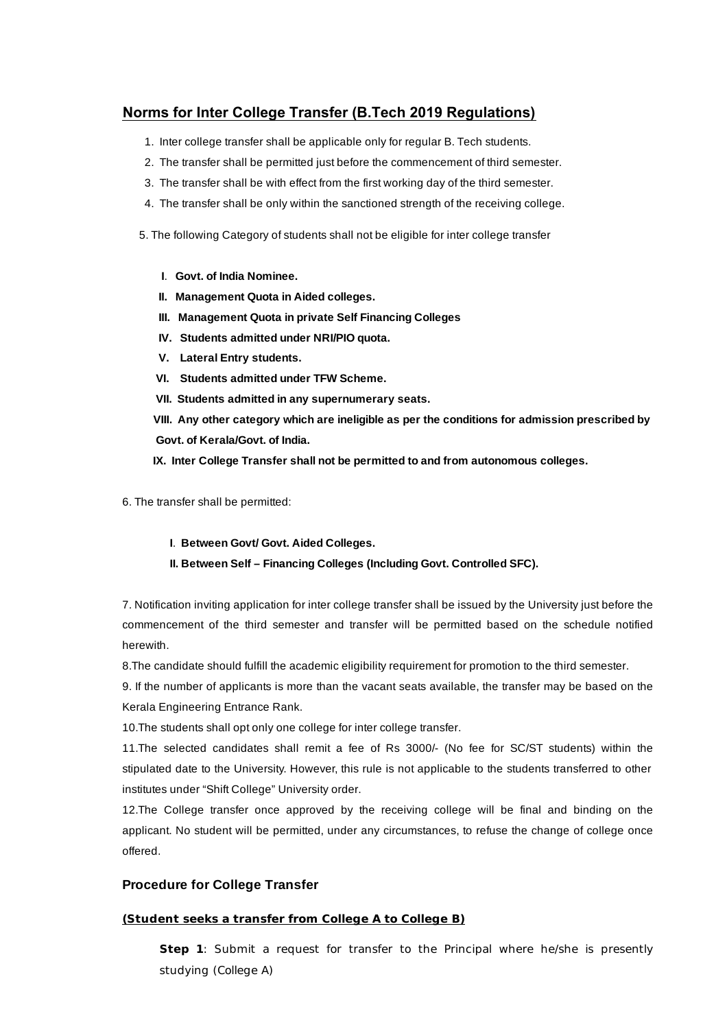## **Norms for Inter College Transfer (B.Tech 2019 Regulations)**

- 1. Inter college transfer shall be applicable only for regular B. Tech students.
- 2. The transfer shall be permitted just before the commencement of third semester.
- 3. The transfer shall be with effect from the first working day of the third semester.
- 4. The transfer shall be only within the sanctioned strength of the receiving college.
- 5. The following Category of students shall not be eligible for inter college transfer
	- **I**. **Govt. of India Nominee.**
	- **II. Management Quota in Aided colleges.**
	- **III. Management Quota in private Self Financing Colleges**
	- **IV. Students admitted under NRI/PIO quota.**
	- **V. Lateral Entry students.**
	- **VI. Students admitted under TFW Scheme.**
	- **VII. Students admitted in any supernumerary seats.**
	- **VIII. Any other category which are ineligible as per the conditions for admission prescribed by Govt. of Kerala/Govt. of India.**
	- **IX. Inter College Transfer shall not be permitted to and from autonomous colleges.**
- 6. The transfer shall be permitted:
	- **I**. **Between Govt/ Govt. Aided Colleges.**
	- **II. Between Self Financing Colleges (Including Govt. Controlled SFC).**

7. Notification inviting application for inter college transfer shall be issued by the University just before the commencement of the third semester and transfer will be permitted based on the schedule notified herewith.

8.The candidate should fulfill the academic eligibility requirement for promotion to the third semester.

9. If the number of applicants is more than the vacant seats available, the transfer may be based on the Kerala Engineering Entrance Rank.

10.The students shall opt only one college for inter college transfer.

11.The selected candidates shall remit a fee of Rs 3000/- (No fee for SC/ST students) within the stipulated date to the University. However, this rule is not applicable to the students transferred to other institutes under "Shift College" University order.

12.The College transfer once approved by the receiving college will be final and binding on the applicant. No student will be permitted, under any circumstances, to refuse the change of college once offered.

### **Procedure for College Transfer**

### **(Student seeks a transfer from College A to College B)**

**Step 1**: Submit a request for transfer to the Principal where he/she is presently studying (College A)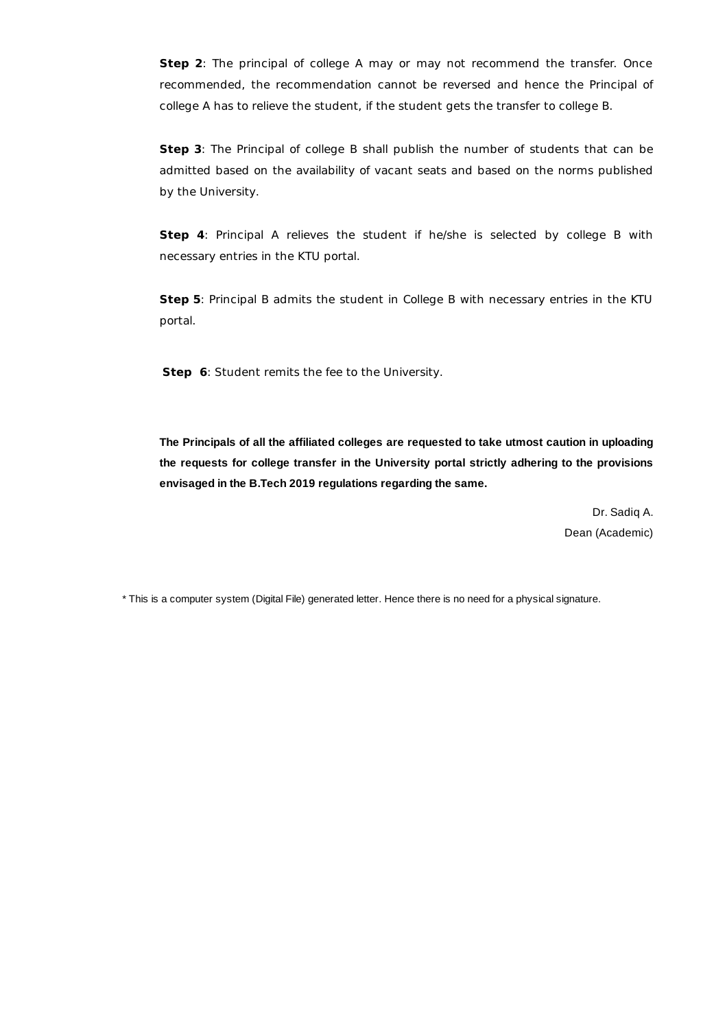**Step 2**: The principal of college A may or may not recommend the transfer. Once recommended, the recommendation cannot be reversed and hence the Principal of college A has to relieve the student, if the student gets the transfer to college B.

**Step 3**: The Principal of college B shall publish the number of students that can be admitted based on the availability of vacant seats and based on the norms published by the University.

**Step 4**: Principal A relieves the student if he/she is selected by college B with necessary entries in the KTU portal.

**Step 5**: Principal B admits the student in College B with necessary entries in the KTU portal.

**Step 6**: Student remits the fee to the University.

**The Principals of all the affiliated colleges are requested to take utmost caution in uploading the requests for college transfer in the University portal strictly adhering to the provisions envisaged in the B.Tech 2019 regulations regarding the same.**

> Dr. Sadiq A. Dean (Academic)

\* This is a computer system (Digital File) generated letter. Hence there is no need for a physical signature.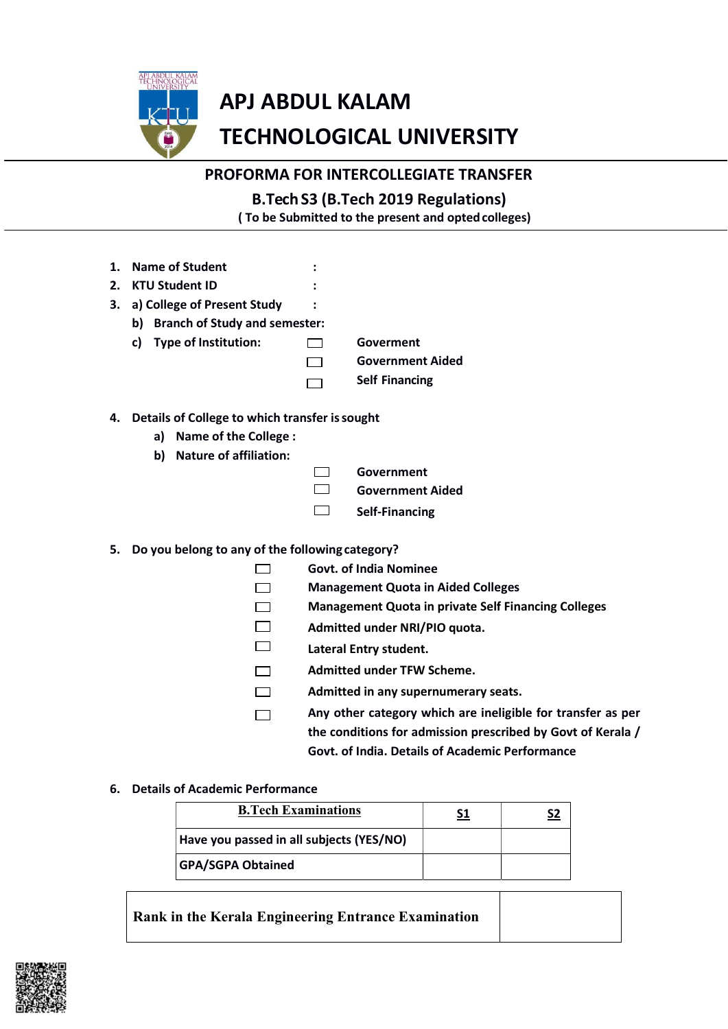

# **APJ ABDUL KALAM TECHNOLOGICAL UNIVERSITY**

# PROFORMA FOR INTERCOLLEGIATE TRANSFER

| <b>B.Tech S3 (B.Tech 2019 Regulations)</b>          |
|-----------------------------------------------------|
| (To be Submitted to the present and opted colleges) |

- 1. Name of Student
- 2. KTU Student ID
- 3. a) College of Present Study
	- b) Branch of Study and semester:

c) Type of Institution:  $\Box$  Goverment

- **Government Aided**  $\Box$
- **Self Financing**  $\Box$
- 4. Details of College to which transfer is sought
	- a) Name of the College :
	- b) Nature of affiliation:
- $\Box$

 $\cdot$ 

 $\cdot$ 

 $\cdot$ 

- Government
- $\Box$ **Government Aided**
- $\Box$ **Self-Financing**

## 5. Do you belong to any of the following category?  $\Box$

 $\Box$ 

- **Govt. of India Nominee**
- **Management Quota in Aided Colleges**
- $\Box$ **Management Quota in private Self Financing Colleges**
- $\Box$ Admitted under NRI/PIO quota.
- $\Box$ **Lateral Entry student.**
- **Admitted under TFW Scheme.**  $\Box$
- $\Box$ Admitted in any supernumerary seats.
- Any other category which are ineligible for transfer as per  $\Box$ the conditions for admission prescribed by Govt of Kerala / Govt. of India. Details of Academic Performance

## 6. Details of Academic Performance

| <b>B.Tech Examinations</b>               |  |
|------------------------------------------|--|
| Have you passed in all subjects (YES/NO) |  |
| <b>GPA/SGPA Obtained</b>                 |  |

Rank in the Kerala Engineering Entrance Examination